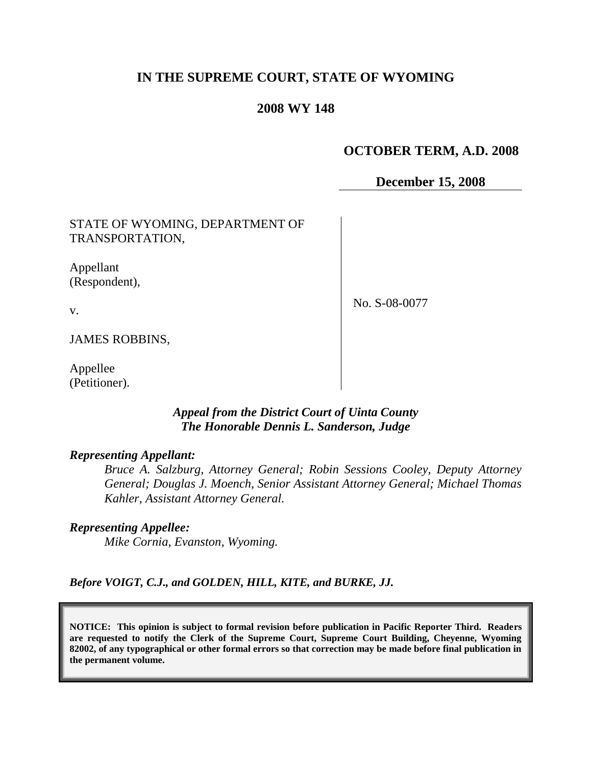# **IN THE SUPREME COURT, STATE OF WYOMING**

## **2008 WY 148**

# **OCTOBER TERM, A.D. 2008**

**December 15, 2008**

STATE OF WYOMING, DEPARTMENT OF TRANSPORTATION,

Appellant (Respondent),

No. S-08-0077

v.

JAMES ROBBINS,

Appellee (Petitioner).

## *Appeal from the District Court of Uinta County The Honorable Dennis L. Sanderson, Judge*

#### *Representing Appellant:*

*Bruce A. Salzburg, Attorney General; Robin Sessions Cooley, Deputy Attorney General; Douglas J. Moench, Senior Assistant Attorney General; Michael Thomas Kahler, Assistant Attorney General.*

*Representing Appellee:*

*Mike Cornia, Evanston, Wyoming.*

*Before VOIGT, C.J., and GOLDEN, HILL, KITE, and BURKE, JJ.*

**NOTICE: This opinion is subject to formal revision before publication in Pacific Reporter Third. Readers are requested to notify the Clerk of the Supreme Court, Supreme Court Building, Cheyenne, Wyoming 82002, of any typographical or other formal errors so that correction may be made before final publication in the permanent volume.**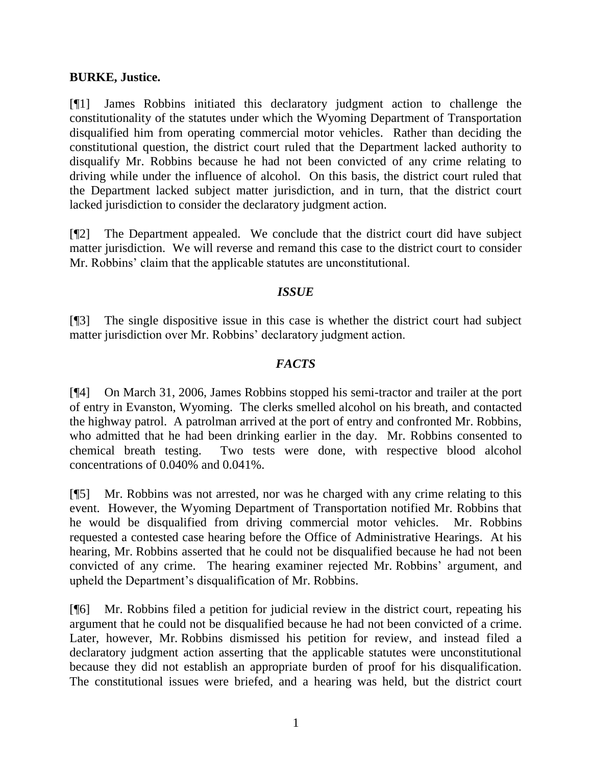### **BURKE, Justice.**

[¶1] James Robbins initiated this declaratory judgment action to challenge the constitutionality of the statutes under which the Wyoming Department of Transportation disqualified him from operating commercial motor vehicles. Rather than deciding the constitutional question, the district court ruled that the Department lacked authority to disqualify Mr. Robbins because he had not been convicted of any crime relating to driving while under the influence of alcohol. On this basis, the district court ruled that the Department lacked subject matter jurisdiction, and in turn, that the district court lacked jurisdiction to consider the declaratory judgment action.

[¶2] The Department appealed. We conclude that the district court did have subject matter jurisdiction. We will reverse and remand this case to the district court to consider Mr. Robbins' claim that the applicable statutes are unconstitutional.

## *ISSUE*

[¶3] The single dispositive issue in this case is whether the district court had subject matter jurisdiction over Mr. Robbins' declaratory judgment action.

# *FACTS*

[¶4] On March 31, 2006, James Robbins stopped his semi-tractor and trailer at the port of entry in Evanston, Wyoming. The clerks smelled alcohol on his breath, and contacted the highway patrol. A patrolman arrived at the port of entry and confronted Mr. Robbins, who admitted that he had been drinking earlier in the day. Mr. Robbins consented to chemical breath testing. Two tests were done, with respective blood alcohol concentrations of 0.040% and 0.041%.

[¶5] Mr. Robbins was not arrested, nor was he charged with any crime relating to this event. However, the Wyoming Department of Transportation notified Mr. Robbins that he would be disqualified from driving commercial motor vehicles. Mr. Robbins requested a contested case hearing before the Office of Administrative Hearings. At his hearing, Mr. Robbins asserted that he could not be disqualified because he had not been convicted of any crime. The hearing examiner rejected Mr. Robbins' argument, and upheld the Department's disqualification of Mr. Robbins.

[¶6] Mr. Robbins filed a petition for judicial review in the district court, repeating his argument that he could not be disqualified because he had not been convicted of a crime. Later, however, Mr. Robbins dismissed his petition for review, and instead filed a declaratory judgment action asserting that the applicable statutes were unconstitutional because they did not establish an appropriate burden of proof for his disqualification. The constitutional issues were briefed, and a hearing was held, but the district court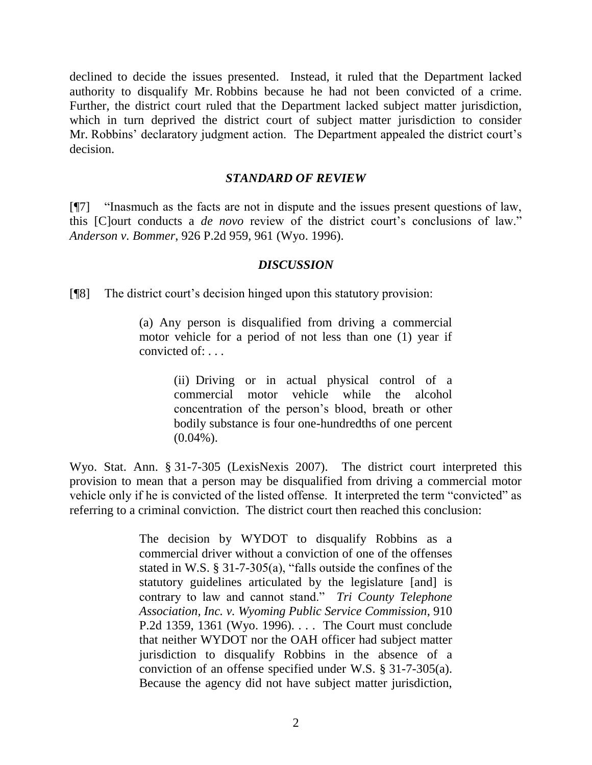declined to decide the issues presented. Instead, it ruled that the Department lacked authority to disqualify Mr. Robbins because he had not been convicted of a crime. Further, the district court ruled that the Department lacked subject matter jurisdiction, which in turn deprived the district court of subject matter jurisdiction to consider Mr. Robbins' declaratory judgment action. The Department appealed the district court's decision.

#### *STANDARD OF REVIEW*

[¶7] "Inasmuch as the facts are not in dispute and the issues present questions of law, this [C]ourt conducts a *de novo* review of the district court's conclusions of law." *Anderson v. Bommer*, 926 P.2d 959, 961 (Wyo. 1996).

#### *DISCUSSION*

[¶8] The district court's decision hinged upon this statutory provision:

(a) Any person is disqualified from driving a commercial motor vehicle for a period of not less than one (1) year if convicted of: . . .

> (ii) Driving or in actual physical control of a commercial motor vehicle while the alcohol concentration of the person's blood, breath or other bodily substance is four one-hundredths of one percent  $(0.04\%)$ .

Wyo. Stat. Ann. § 31-7-305 (LexisNexis 2007). The district court interpreted this provision to mean that a person may be disqualified from driving a commercial motor vehicle only if he is convicted of the listed offense. It interpreted the term "convicted" as referring to a criminal conviction. The district court then reached this conclusion:

> The decision by WYDOT to disqualify Robbins as a commercial driver without a conviction of one of the offenses stated in W.S. § 31-7-305(a), "falls outside the confines of the statutory guidelines articulated by the legislature [and] is contrary to law and cannot stand." *Tri County Telephone Association, Inc. v. Wyoming Public Service Commission*, 910 P.2d 1359, 1361 (Wyo. 1996). . . . The Court must conclude that neither WYDOT nor the OAH officer had subject matter jurisdiction to disqualify Robbins in the absence of a conviction of an offense specified under W.S. § 31-7-305(a). Because the agency did not have subject matter jurisdiction,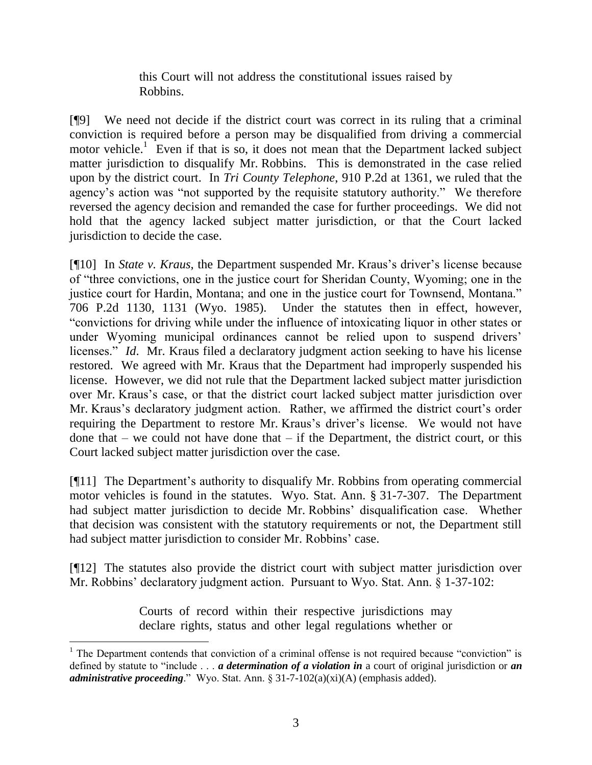this Court will not address the constitutional issues raised by Robbins.

[¶9] We need not decide if the district court was correct in its ruling that a criminal conviction is required before a person may be disqualified from driving a commercial motor vehicle.<sup>1</sup> Even if that is so, it does not mean that the Department lacked subject matter jurisdiction to disqualify Mr. Robbins. This is demonstrated in the case relied upon by the district court. In *Tri County Telephone*, 910 P.2d at 1361, we ruled that the agency's action was "not supported by the requisite statutory authority." We therefore reversed the agency decision and remanded the case for further proceedings. We did not hold that the agency lacked subject matter jurisdiction, or that the Court lacked jurisdiction to decide the case.

[¶10] In *State v. Kraus*, the Department suspended Mr. Kraus's driver's license because of "three convictions, one in the justice court for Sheridan County, Wyoming; one in the justice court for Hardin, Montana; and one in the justice court for Townsend, Montana." 706 P.2d 1130, 1131 (Wyo. 1985). Under the statutes then in effect, however, "convictions for driving while under the influence of intoxicating liquor in other states or under Wyoming municipal ordinances cannot be relied upon to suspend drivers' licenses." *Id.* Mr. Kraus filed a declaratory judgment action seeking to have his license restored. We agreed with Mr. Kraus that the Department had improperly suspended his license. However, we did not rule that the Department lacked subject matter jurisdiction over Mr. Kraus's case, or that the district court lacked subject matter jurisdiction over Mr. Kraus's declaratory judgment action. Rather, we affirmed the district court's order requiring the Department to restore Mr. Kraus's driver's license. We would not have done that  $-$  we could not have done that  $-$  if the Department, the district court, or this Court lacked subject matter jurisdiction over the case.

[¶11] The Department's authority to disqualify Mr. Robbins from operating commercial motor vehicles is found in the statutes. Wyo. Stat. Ann. § 31-7-307. The Department had subject matter jurisdiction to decide Mr. Robbins' disqualification case. Whether that decision was consistent with the statutory requirements or not, the Department still had subject matter jurisdiction to consider Mr. Robbins' case.

[¶12] The statutes also provide the district court with subject matter jurisdiction over Mr. Robbins' declaratory judgment action. Pursuant to Wyo. Stat. Ann. § 1-37-102:

> Courts of record within their respective jurisdictions may declare rights, status and other legal regulations whether or

 $\overline{a}$ 

 $1$  The Department contends that conviction of a criminal offense is not required because "conviction" is defined by statute to "include . . . *a determination of a violation in* a court of original jurisdiction or *an administrative proceeding*." Wyo. Stat. Ann. § 31-7-102(a)(xi)(A) (emphasis added).